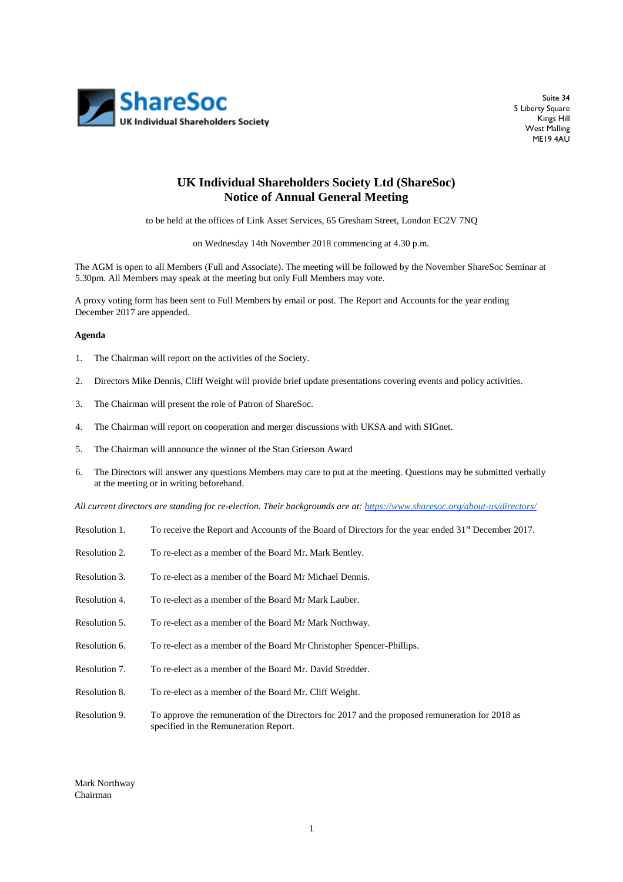

Suite 34 5 Liberty Square Kings Hill West Malling ME19 4AU

# **UK Individual Shareholders Society Ltd (ShareSoc) Notice of Annual General Meeting**

to be held at the offices of Link Asset Services, 65 Gresham Street, London EC2V 7NQ

on Wednesday 14th November 2018 commencing at 4.30 p.m.

The AGM is open to all Members (Full and Associate). The meeting will be followed by the November ShareSoc Seminar at 5.30pm. All Members may speak at the meeting but only Full Members may vote.

A proxy voting form has been sent to Full Members by email or post. The Report and Accounts for the year ending December 2017 are appended.

# **Agenda**

- 1. The Chairman will report on the activities of the Society.
- 2. Directors Mike Dennis, Cliff Weight will provide brief update presentations covering events and policy activities.
- 3. The Chairman will present the role of Patron of ShareSoc.
- 4. The Chairman will report on cooperation and merger discussions with UKSA and with SIGnet.
- 5. The Chairman will announce the winner of the Stan Grierson Award
- 6. The Directors will answer any questions Members may care to put at the meeting. Questions may be submitted verbally at the meeting or in writing beforehand.

*All current directors are standing for re-election. Their backgrounds are at[: https://www.sharesoc.org/about-us/directors/](https://www.sharesoc.org/about-us/directors/)*

- Resolution 1. To receive the Report and Accounts of the Board of Directors for the year ended 31<sup>st</sup> December 2017.
- Resolution 2. To re-elect as a member of the Board Mr. Mark Bentley.
- Resolution 3. To re-elect as a member of the Board Mr Michael Dennis.
- Resolution 4. To re-elect as a member of the Board Mr Mark Lauber.
- Resolution 5. To re-elect as a member of the Board Mr Mark Northway.
- Resolution 6. To re-elect as a member of the Board Mr Christopher Spencer-Phillips.
- Resolution 7. To re-elect as a member of the Board Mr. David Stredder.
- Resolution 8. To re-elect as a member of the Board Mr. Cliff Weight.
- Resolution 9. To approve the remuneration of the Directors for 2017 and the proposed remuneration for 2018 as specified in the Remuneration Report.

Mark Northway Chairman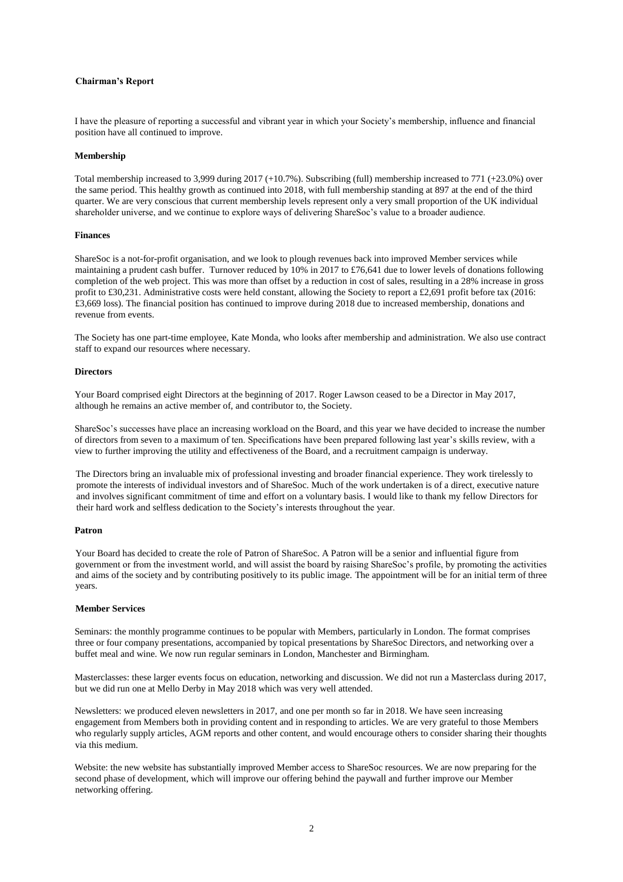# **Chairman's Report**

I have the pleasure of reporting a successful and vibrant year in which your Society's membership, influence and financial position have all continued to improve.

#### **Membership**

Total membership increased to 3,999 during 2017 (+10.7%). Subscribing (full) membership increased to 771 (+23.0%) over the same period. This healthy growth as continued into 2018, with full membership standing at 897 at the end of the third quarter. We are very conscious that current membership levels represent only a very small proportion of the UK individual shareholder universe, and we continue to explore ways of delivering ShareSoc's value to a broader audience.

#### **Finances**

ShareSoc is a not-for-profit organisation, and we look to plough revenues back into improved Member services while maintaining a prudent cash buffer. Turnover reduced by 10% in 2017 to £76,641 due to lower levels of donations following completion of the web project. This was more than offset by a reduction in cost of sales, resulting in a 28% increase in gross profit to £30,231. Administrative costs were held constant, allowing the Society to report a £2,691 profit before tax (2016: £3,669 loss). The financial position has continued to improve during 2018 due to increased membership, donations and revenue from events.

The Society has one part-time employee, Kate Monda, who looks after membership and administration. We also use contract staff to expand our resources where necessary.

#### **Directors**

Your Board comprised eight Directors at the beginning of 2017. Roger Lawson ceased to be a Director in May 2017, although he remains an active member of, and contributor to, the Society.

ShareSoc's successes have place an increasing workload on the Board, and this year we have decided to increase the number of directors from seven to a maximum of ten. Specifications have been prepared following last year's skills review, with a view to further improving the utility and effectiveness of the Board, and a recruitment campaign is underway.

The Directors bring an invaluable mix of professional investing and broader financial experience. They work tirelessly to promote the interests of individual investors and of ShareSoc. Much of the work undertaken is of a direct, executive nature and involves significant commitment of time and effort on a voluntary basis. I would like to thank my fellow Directors for their hard work and selfless dedication to the Society's interests throughout the year.

#### **Patron**

Your Board has decided to create the role of Patron of ShareSoc. A Patron will be a senior and influential figure from government or from the investment world, and will assist the board by raising ShareSoc's profile, by promoting the activities and aims of the society and by contributing positively to its public image. The appointment will be for an initial term of three years.

# **Member Services**

Seminars: the monthly programme continues to be popular with Members, particularly in London. The format comprises three or four company presentations, accompanied by topical presentations by ShareSoc Directors, and networking over a buffet meal and wine. We now run regular seminars in London, Manchester and Birmingham.

Masterclasses: these larger events focus on education, networking and discussion. We did not run a Masterclass during 2017, but we did run one at Mello Derby in May 2018 which was very well attended.

Newsletters: we produced eleven newsletters in 2017, and one per month so far in 2018. We have seen increasing engagement from Members both in providing content and in responding to articles. We are very grateful to those Members who regularly supply articles, AGM reports and other content, and would encourage others to consider sharing their thoughts via this medium.

Website: the new website has substantially improved Member access to ShareSoc resources. We are now preparing for the second phase of development, which will improve our offering behind the paywall and further improve our Member networking offering.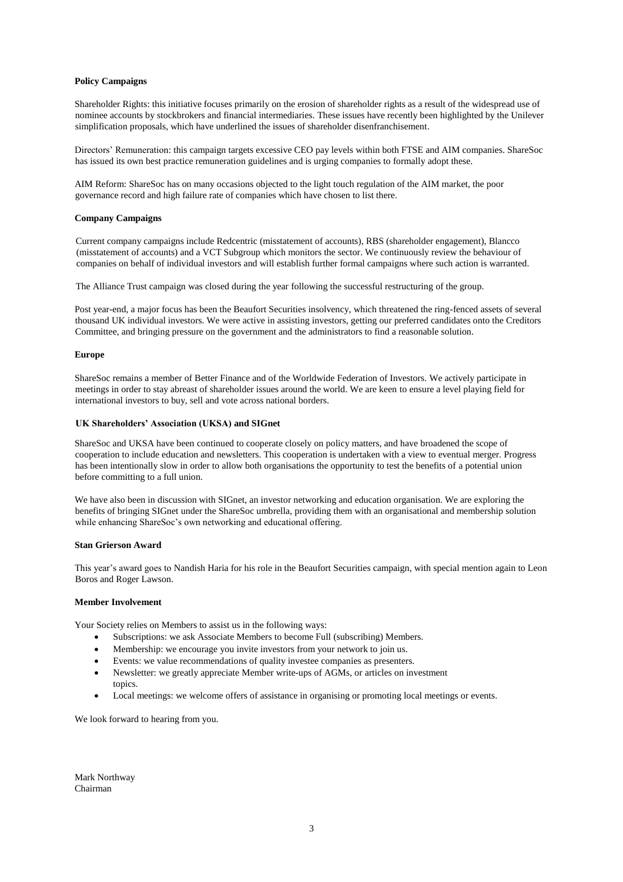#### **Policy Campaigns**

Shareholder Rights: this initiative focuses primarily on the erosion of shareholder rights as a result of the widespread use of nominee accounts by stockbrokers and financial intermediaries. These issues have recently been highlighted by the Unilever simplification proposals, which have underlined the issues of shareholder disenfranchisement.

Directors' Remuneration: this campaign targets excessive CEO pay levels within both FTSE and AIM companies. ShareSoc has issued its own best practice remuneration guidelines and is urging companies to formally adopt these.

AIM Reform: ShareSoc has on many occasions objected to the light touch regulation of the AIM market, the poor governance record and high failure rate of companies which have chosen to list there.

# **Company Campaigns**

Current company campaigns include Redcentric (misstatement of accounts), RBS (shareholder engagement), Blancco (misstatement of accounts) and a VCT Subgroup which monitors the sector. We continuously review the behaviour of companies on behalf of individual investors and will establish further formal campaigns where such action is warranted.

The Alliance Trust campaign was closed during the year following the successful restructuring of the group.

Post year-end, a major focus has been the Beaufort Securities insolvency, which threatened the ring-fenced assets of several thousand UK individual investors. We were active in assisting investors, getting our preferred candidates onto the Creditors Committee, and bringing pressure on the government and the administrators to find a reasonable solution.

# **Europe**

ShareSoc remains a member of Better Finance and of the Worldwide Federation of Investors. We actively participate in meetings in order to stay abreast of shareholder issues around the world. We are keen to ensure a level playing field for international investors to buy, sell and vote across national borders.

# **UK Shareholders' Association (UKSA) and SIGnet**

ShareSoc and UKSA have been continued to cooperate closely on policy matters, and have broadened the scope of cooperation to include education and newsletters. This cooperation is undertaken with a view to eventual merger. Progress has been intentionally slow in order to allow both organisations the opportunity to test the benefits of a potential union before committing to a full union.

We have also been in discussion with SIGnet, an investor networking and education organisation. We are exploring the benefits of bringing SIGnet under the ShareSoc umbrella, providing them with an organisational and membership solution while enhancing ShareSoc's own networking and educational offering.

# **Stan Grierson Award**

This year's award goes to Nandish Haria for his role in the Beaufort Securities campaign, with special mention again to Leon Boros and Roger Lawson.

#### **Member Involvement**

Your Society relies on Members to assist us in the following ways:

- Subscriptions: we ask Associate Members to become Full (subscribing) Members.
- Membership: we encourage you invite investors from your network to join us.
- Events: we value recommendations of quality investee companies as presenters.
- Newsletter: we greatly appreciate Member write-ups of AGMs, or articles on investment topics.
- Local meetings: we welcome offers of assistance in organising or promoting local meetings or events.

We look forward to hearing from you.

Mark Northway Chairman